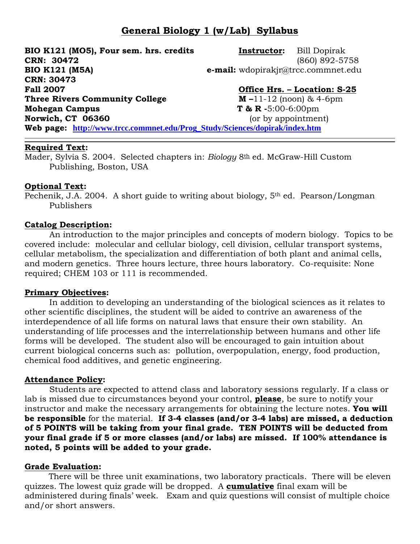# **General Biology 1 (w/Lab) Syllabus**

**BIO K121 (MO5), Four sem. hrs. credits Instructor:** Bill Dopirak **CRN: 30472** (860) 892-5758 **BIO K121 (M5A) e-mail:** wdopirakjr@trcc.commnet.edu **CRN: 30473 Fall 2007 Office Hrs. – Location: S-25 Three Rivers Community College M – 11-12 (noon) & 4-6pm Mohegan Campus** T & R -5:00-6:00pm **Norwich, CT 06360** (or by appointment) **Web page: [http://www.trcc.commnet.edu/Prog\\_Study/Sciences/dopirak/index.htm](http://www.trcc.commnet.edu/Prog_Study/Sciences/dopirak/index.htm)**

#### **Required Text:**

Mader, Sylvia S. 2004. Selected chapters in: *Biology* 8<sup>th</sup> ed. McGraw-Hill Custom Publishing, Boston, USA

#### **Optional Text:**

Pechenik, J.A. 2004. A short guide to writing about biology, 5th ed. Pearson/Longman Publishers

#### **Catalog Description:**

An introduction to the major principles and concepts of modern biology. Topics to be covered include: molecular and cellular biology, cell division, cellular transport systems, cellular metabolism, the specialization and differentiation of both plant and animal cells, and modern genetics. Three hours lecture, three hours laboratory. Co-requisite: None required; CHEM 103 or 111 is recommended.

#### **Primary Objectives:**

In addition to developing an understanding of the biological sciences as it relates to other scientific disciplines, the student will be aided to contrive an awareness of the interdependence of all life forms on natural laws that ensure their own stability. An understanding of life processes and the interrelationship between humans and other life forms will be developed. The student also will be encouraged to gain intuition about current biological concerns such as: pollution, overpopulation, energy, food production, chemical food additives, and genetic engineering.

### **Attendance Policy:**

Students are expected to attend class and laboratory sessions regularly. If a class or lab is missed due to circumstances beyond your control, **please**, be sure to notify your instructor and make the necessary arrangements for obtaining the lecture notes. **You will be responsible** for the material. **If 3-4 classes (and/or 3-4 labs) are missed, a deduction of 5 POINTS will be taking from your final grade. TEN POINTS will be deducted from your final grade if 5 or more classes (and/or labs) are missed. If 100% attendance is noted, 5 points will be added to your grade.** 

### **Grade Evaluation:**

There will be three unit examinations, two laboratory practicals. There will be eleven quizzes. The lowest quiz grade will be dropped. A **cumulative** final exam will be administered during finals' week. Exam and quiz questions will consist of multiple choice and/or short answers.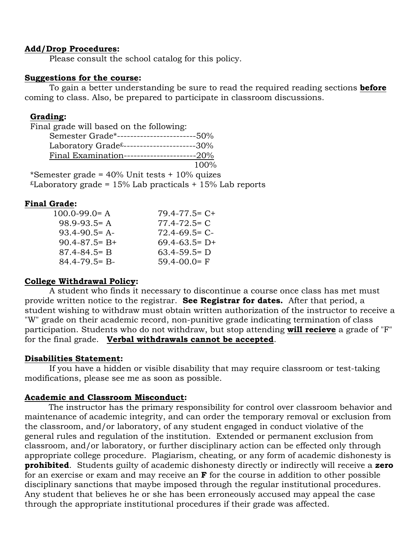#### **Add/Drop Procedures:**

Please consult the school catalog for this policy.

#### **Suggestions for the course:**

To gain a better understanding be sure to read the required reading sections **before** coming to class. Also, be prepared to participate in classroom discussions.

#### **Grading:**

Final grade will based on the following:

| Semester Grade*------------------------50%             |      |
|--------------------------------------------------------|------|
| Laboratory $Grade^{\pounds}$ ----------------------30% |      |
| Final Examination----------------------20%             |      |
|                                                        | 100% |

\*Semester grade =  $40\%$  Unit tests +  $10\%$  quizes  $E$ Laboratory grade = 15% Lab practicals + 15% Lab reports

### **Final Grade:**

| $100.0 - 99.0 = A$  | $79.4 - 77.5 = C +$ |
|---------------------|---------------------|
| $98.9 - 93.5 = A$   | $77.4 - 72.5 = C$   |
| $93.4 - 90.5 = A$   | $72.4 - 69.5 = C$   |
| $90.4 - 87.5 = B +$ | $69.4 - 63.5 = D +$ |
| $87.4 - 84.5 = B$   | $63.4 - 59.5 = D$   |
| $84.4 - 79.5 = B -$ | $59.4 - 00.0 = F$   |

### **College Withdrawal Policy:**

A student who finds it necessary to discontinue a course once class has met must provide written notice to the registrar. **See Registrar for dates.** After that period, a student wishing to withdraw must obtain written authorization of the instructor to receive a "W" grade on their academic record, non-punitive grade indicating termination of class participation. Students who do not withdraw, but stop attending **will recieve** a grade of "F" for the final grade. **Verbal withdrawals cannot be accepted**.

### **Disabilities Statement:**

If you have a hidden or visible disability that may require classroom or test-taking modifications, please see me as soon as possible.

### **Academic and Classroom Misconduct:**

The instructor has the primary responsibility for control over classroom behavior and maintenance of academic integrity, and can order the temporary removal or exclusion from the classroom, and/or laboratory, of any student engaged in conduct violative of the general rules and regulation of the institution. Extended or permanent exclusion from classroom, and/or laboratory, or further disciplinary action can be effected only through appropriate college procedure. Plagiarism, cheating, or any form of academic dishonesty is **prohibited**. Students guilty of academic dishonesty directly or indirectly will receive a **zero** for an exercise or exam and may receive an **F** for the course in addition to other possible disciplinary sanctions that maybe imposed through the regular institutional procedures. Any student that believes he or she has been erroneously accused may appeal the case through the appropriate institutional procedures if their grade was affected.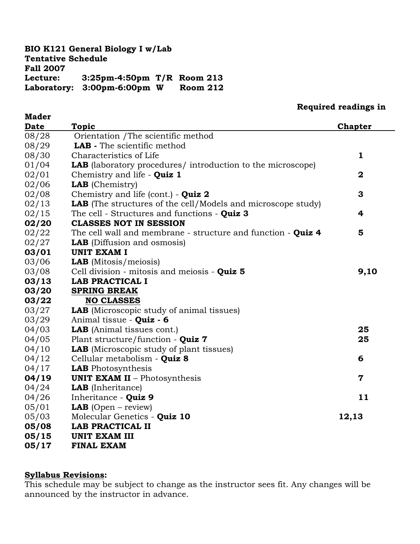### **BIO K121 General Biology I w/Lab Tentative Schedule Fall 2007 Lecture: 3:25pm-4:50pm T/R Room 213 Laboratory: 3:00pm-6:00pm W Room 212**

**Mader**

### **Required readings in**

| Date  | <b>Topic</b>                                                        | <b>Chapter</b> |
|-------|---------------------------------------------------------------------|----------------|
| 08/28 | Orientation / The scientific method                                 |                |
| 08/29 | LAB - The scientific method                                         |                |
| 08/30 | Characteristics of Life                                             | $\mathbf{1}$   |
| 01/04 | <b>LAB</b> (laboratory procedures/introduction to the microscope)   |                |
| 02/01 | Chemistry and life - Quiz 1                                         | $\mathbf 2$    |
| 02/06 | <b>LAB</b> (Chemistry)                                              |                |
| 02/08 | Chemistry and life (cont.) - Quiz 2                                 | 3              |
| 02/13 | <b>LAB</b> (The structures of the cell/Models and microscope study) |                |
| 02/15 | The cell - Structures and functions - Quiz 3                        | 4              |
| 02/20 | <b>CLASSES NOT IN SESSION</b>                                       |                |
| 02/22 | The cell wall and membrane - structure and function - Quiz 4        | 5              |
| 02/27 | <b>LAB</b> (Diffusion and osmosis)                                  |                |
| 03/01 | UNIT EXAM I                                                         |                |
| 03/06 | <b>LAB</b> (Mitosis/meiosis)                                        |                |
| 03/08 | Cell division - mitosis and meiosis - Quiz 5                        | 9,10           |
| 03/13 | LAB PRACTICAL I                                                     |                |
| 03/20 | <b>SPRING BREAK</b>                                                 |                |
| 03/22 | <b>NO CLASSES</b>                                                   |                |
| 03/27 | LAB (Microscopic study of animal tissues)                           |                |
| 03/29 | Animal tissue - Quiz - 6                                            |                |
| 04/03 | <b>LAB</b> (Animal tissues cont.)                                   | 25             |
| 04/05 | Plant structure/function - Quiz 7                                   | 25             |
| 04/10 | <b>LAB</b> (Microscopic study of plant tissues)                     |                |
| 04/12 | Cellular metabolism - Quiz 8                                        | 6              |
| 04/17 | <b>LAB</b> Photosynthesis                                           |                |
| 04/19 | <b>UNIT EXAM II - Photosynthesis</b>                                | $\mathbf 7$    |
| 04/24 | <b>LAB</b> (Inheritance)                                            |                |
| 04/26 | Inheritance - Quiz 9                                                | 11             |
| 05/01 | <b>LAB</b> (Open – review)                                          |                |
| 05/03 | Molecular Genetics - Quiz 10                                        | 12,13          |
| 05/08 | LAB PRACTICAL II                                                    |                |
| 05/15 | UNIT EXAM III                                                       |                |
| 05/17 | <b>FINAL EXAM</b>                                                   |                |

#### **Syllabus Revisions:**

This schedule may be subject to change as the instructor sees fit. Any changes will be announced by the instructor in advance.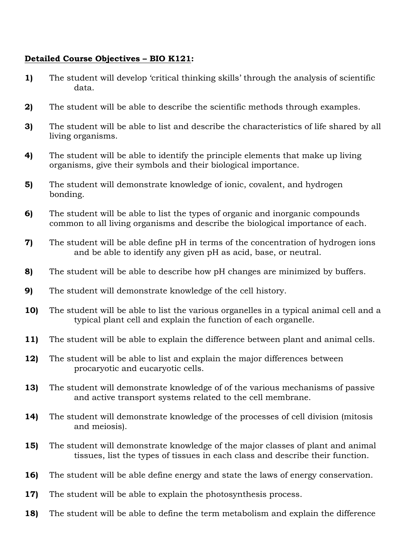### **Detailed Course Objectives – BIO K121:**

- **1)** The student will develop 'critical thinking skills' through the analysis of scientific data.
- **2)** The student will be able to describe the scientific methods through examples.
- **3)** The student will be able to list and describe the characteristics of life shared by all living organisms.
- **4)** The student will be able to identify the principle elements that make up living organisms, give their symbols and their biological importance.
- **5)** The student will demonstrate knowledge of ionic, covalent, and hydrogen bonding.
- **6)** The student will be able to list the types of organic and inorganic compounds common to all living organisms and describe the biological importance of each.
- **7)** The student will be able define pH in terms of the concentration of hydrogen ions and be able to identify any given pH as acid, base, or neutral.
- **8)** The student will be able to describe how pH changes are minimized by buffers.
- **9)** The student will demonstrate knowledge of the cell history.
- **10)** The student will be able to list the various organelles in a typical animal cell and a typical plant cell and explain the function of each organelle.
- **11)** The student will be able to explain the difference between plant and animal cells.
- **12)** The student will be able to list and explain the major differences between procaryotic and eucaryotic cells.
- **13)** The student will demonstrate knowledge of of the various mechanisms of passive and active transport systems related to the cell membrane.
- **14)** The student will demonstrate knowledge of the processes of cell division (mitosis and meiosis).
- **15)** The student will demonstrate knowledge of the major classes of plant and animal tissues, list the types of tissues in each class and describe their function.
- **16)** The student will be able define energy and state the laws of energy conservation.
- **17)** The student will be able to explain the photosynthesis process.
- **18)** The student will be able to define the term metabolism and explain the difference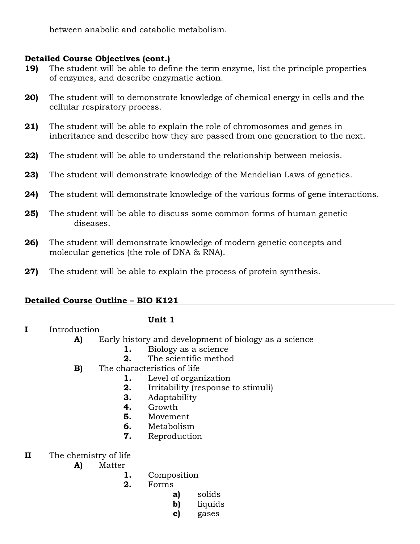between anabolic and catabolic metabolism.

### **Detailed Course Objectives (cont.)**

- **19)** The student will be able to define the term enzyme, list the principle properties of enzymes, and describe enzymatic action.
- **20)** The student will to demonstrate knowledge of chemical energy in cells and the cellular respiratory process.
- **21)** The student will be able to explain the role of chromosomes and genes in inheritance and describe how they are passed from one generation to the next.
- **22)** The student will be able to understand the relationship between meiosis.
- **23)** The student will demonstrate knowledge of the Mendelian Laws of genetics.
- **24)** The student will demonstrate knowledge of the various forms of gene interactions.
- **25)** The student will be able to discuss some common forms of human genetic diseases.
- **26)** The student will demonstrate knowledge of modern genetic concepts and molecular genetics (the role of DNA & RNA).
- **27)** The student will be able to explain the process of protein synthesis.

### **Detailed Course Outline – BIO K121**

**I** Introduction

### **Unit 1**

- - **A)** Early history and development of biology as a science
		- **1.** Biology as a science
		- **2.** The scientific method
	- **B)** The characteristics of life
		- **1.** Level of organization
		- **2.** Irritability (response to stimuli)
		- **3.** Adaptability
		- **4.** Growth
		- **5.** Movement
		- **6.** Metabolism
		- **7.** Reproduction
- **II** The chemistry of life
	- **A)** Matter
		- **1.** Composition
		- **2.** Forms
			- **a)** solids
			- **b)** liquids
			- **c)** gases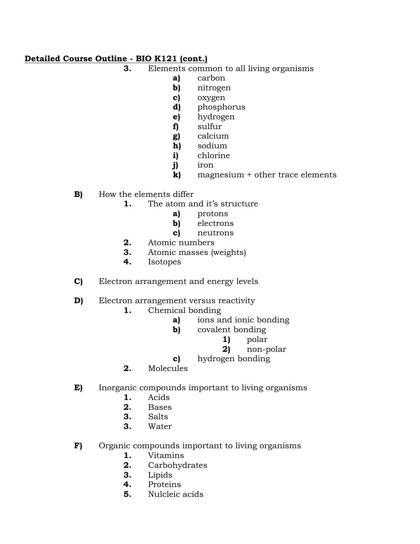- **3.** Elements common to all living organisms
	- **a)** carbon
	- **b)** nitrogen
	- **c)** oxygen
	- **d)** phosphorus
	- **e)** hydrogen
	- **f)** sulfur
	- **g)** calcium
	- **h)** sodium
	- **i)** chlorine
	- **j)** iron
	- **k)** magnesium + other trace elements
- **B)** How the elements differ
	- **1.** The atom and it's structure
		- **a)** protons
		- **b)** electrons
		- **c)** neutrons
	- **2.** Atomic numbers
	- **3.** Atomic masses (weights)
	- **4.** Isotopes
- **C)** Electron arrangement and energy levels
- **D)** Electron arrangement versus reactivity
	- **1.** Chemical bonding
		- **a)** ions and ionic bonding
		- **b)** covalent bonding
			- **1)** polar
			- **2)** non-polar
		- **c)** hydrogen bonding
	- **2.** Molecules
- **E)** Inorganic compounds important to living organisms
	- **1.** Acids
	- **2.** Bases
	- **3.** Salts
	- **3.** Water
- **F)** Organic compounds important to living organisms
	- **1.** Vitamins
	- **2.** Carbohydrates
	- **3.** Lipids
	- **4.** Proteins
	- **5.** Nulcleic acids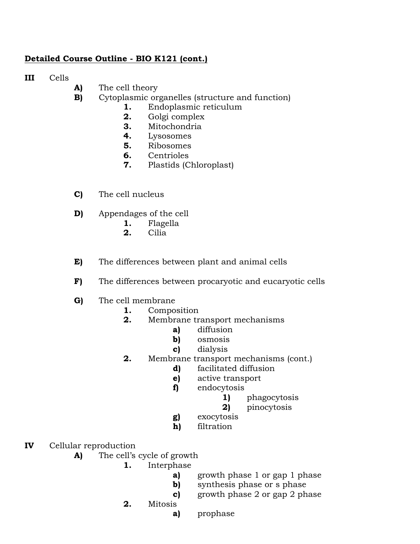**III** Cells

- **A)** The cell theory
- **B)** Cytoplasmic organelles (structure and function)
	- **1.** Endoplasmic reticulum
	- **2.** Golgi complex
	- **3.** Mitochondria
	- **4.** Lysosomes
	- **5.** Ribosomes
	- **6.** Centrioles
	- **7.** Plastids (Chloroplast)
- **C)** The cell nucleus
- **D)** Appendages of the cell
	- **1.** Flagella
	- **2.** Cilia
- **E)** The differences between plant and animal cells
- **F)** The differences between procaryotic and eucaryotic cells
- **G)** The cell membrane
	- **1.** Composition
	- **2.** Membrane transport mechanisms
		- **a)** diffusion
		- **b)** osmosis
		- **c)** dialysis
	- **2.** Membrane transport mechanisms (cont.)
		- **d)** facilitated diffusion
		- **e)** active transport
		- **f)** endocytosis
			- **1)** phagocytosis
			- **2)** pinocytosis
		- **g)** exocytosis
		- **h)** filtration
- **IV** Cellular reproduction
	- **A)** The cell's cycle of growth
		- **1.** Interphase
			- **a)** growth phase 1 or gap 1 phase
			- **b)** synthesis phase or s phase
			- **c)** growth phase 2 or gap 2 phase
		- **2.** Mitosis
			- **a)** prophase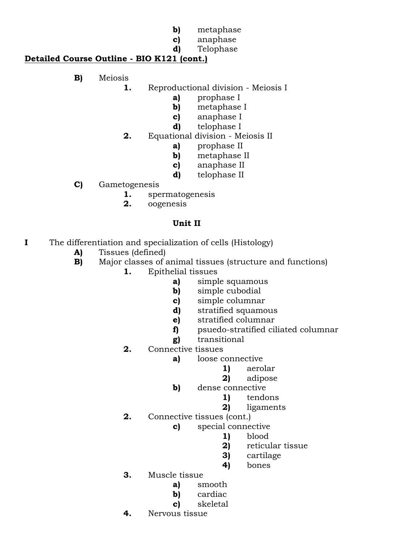- **b)** metaphase
- **c)** anaphase
- **d)** Telophase

- **B)** Meiosis
	- **1.** Reproductional division Meiosis I
		- **a)** prophase I
			- **b)** metaphase I
			- **c)** anaphase I
			- **d)** telophase I
	- **2.** Equational division Meiosis II
		- **a)** prophase II
		- **b)** metaphase II
		- **c)** anaphase II
		- **d)** telophase II
- **C)** Gametogenesis
	- **1.** spermatogenesis
	- **2.** oogenesis

### **Unit II**

- **I** The differentiation and specialization of cells (Histology)
	- **A)** Tissues (defined)
	- **B)** Major classes of animal tissues (structure and functions)
		- **1.** Epithelial tissues
			- **a)** simple squamous
			- **b)** simple cubodial
			- **c)** simple columnar
			- **d)** stratified squamous
			- **e)** stratified columnar
			- **f)** psuedo-stratified ciliated columnar
			- **g)** transitional
			- **2.** Connective tissues
				- **a)** loose connective
					- **1)** aerolar
					- **2)** adipose
				- **b)** dense connective
					- **1)** tendons
					- **2)** ligaments
			- **2.** Connective tissues (cont.)
				- **c)** special connective
					- **1)** blood
					- **2)** reticular tissue
					- **3)** cartilage
					- **4)** bones
			- **3.** Muscle tissue
				- **a)** smooth
				- **b)** cardiac
				- **c)** skeletal
			- **4.** Nervous tissue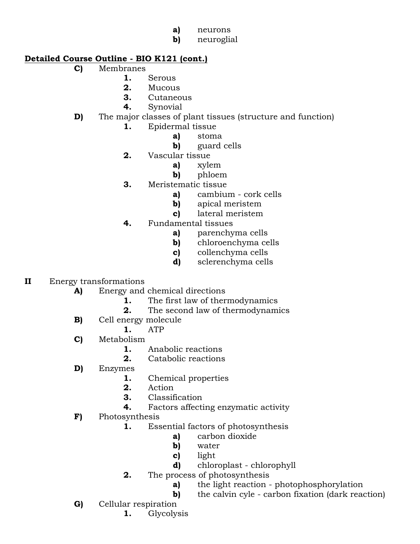- **a)** neurons
- **b)** neuroglial

- **C)** Membranes
	- **1.** Serous
	- **2.** Mucous
	- **3.** Cutaneous
	- **4.** Synovial

# **D)** The major classes of plant tissues (structure and function)

- **1.** Epidermal tissue
	- **a)** stoma
	- **b)** guard cells
- **2.** Vascular tissue
	- **a)** xylem
	- **b)** phloem
- **3.** Meristematic tissue
	- **a)** cambium cork cells
	- **b)** apical meristem
	- **c)** lateral meristem
- **4.** Fundamental tissues
	- **a)** parenchyma cells
	- **b)** chloroenchyma cells
	- **c)** collenchyma cells
	- **d)** sclerenchyma cells

# **II** Energy transformations

- **A)** Energy and chemical directions
	- **1.** The first law of thermodynamics
	- **2.** The second law of thermodynamics
- **B)** Cell energy molecule
	- **1.** ATP
- **C)** Metabolism
	- **1.** Anabolic reactions
	- **2.** Catabolic reactions
- **D)** Enzymes
	- **1.** Chemical properties
	- **2.** Action
	- **3.** Classification
	- **4.** Factors affecting enzymatic activity
- **F)** Photosynthesis
	- **1.** Essential factors of photosynthesis
		- **a)** carbon dioxide
		- **b)** water
		- **c)** light
		- **d)** chloroplast chlorophyll
	- **2.** The process of photosynthesis
		- **a)** the light reaction photophosphorylation
		- **b)** the calvin cyle carbon fixation (dark reaction)
- **G)** Cellular respiration
	- **1.** Glycolysis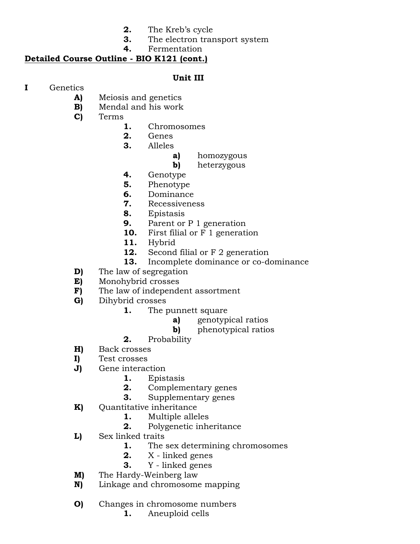- **2.** The Kreb's cycle
- **3.** The electron transport system
- **4.** Fermentation

### **Unit III**

- **I** Genetics
	- **A)** Meiosis and genetics
	- **B)** Mendal and his work
	- **C)** Terms
		- **1.** Chromosomes
		- **2.** Genes
		- **3.** Alleles
			- **a)** homozygous
			- **b)** heterzygous
		- **4.** Genotype
		- **5.** Phenotype
		- **6.** Dominance
		- **7.** Recessiveness
		- **8.** Epistasis
		- **9.** Parent or P 1 generation
		- **10.** First filial or F 1 generation
		- **11.** Hybrid
		- **12.** Second filial or F 2 generation
		- **13.** Incomplete dominance or co-dominance
	- **D)** The law of segregation
	- **E)** Monohybrid crosses
	- **F)** The law of independent assortment
	- **G)** Dihybrid crosses
		- **1.** The punnett square
			- **a)** genotypical ratios
			- **b)** phenotypical ratios
		- **2.** Probability
	- **H)** Back crosses
	- **I)** Test crosses
	- **J)** Gene interaction
		- **1.** Epistasis
		- **2.** Complementary genes
		- **3.** Supplementary genes
	- **K)** Quantitative inheritance
		- **1.** Multiple alleles
		- **2.** Polygenetic inheritance
	- **L)** Sex linked traits
		- **1.** The sex determining chromosomes
		- **2.** X linked genes
		- **3.** Y linked genes
	- **M)** The Hardy-Weinberg law
	- **N)** Linkage and chromosome mapping
	- **O)** Changes in chromosome numbers
		- **1.** Aneuploid cells